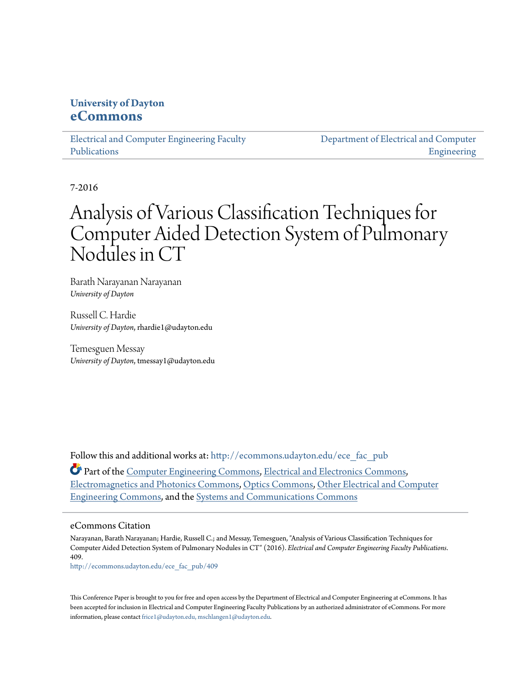# **University of Dayton [eCommons](http://ecommons.udayton.edu?utm_source=ecommons.udayton.edu%2Fece_fac_pub%2F409&utm_medium=PDF&utm_campaign=PDFCoverPages)**

[Electrical and Computer Engineering Faculty](http://ecommons.udayton.edu/ece_fac_pub?utm_source=ecommons.udayton.edu%2Fece_fac_pub%2F409&utm_medium=PDF&utm_campaign=PDFCoverPages) [Publications](http://ecommons.udayton.edu/ece_fac_pub?utm_source=ecommons.udayton.edu%2Fece_fac_pub%2F409&utm_medium=PDF&utm_campaign=PDFCoverPages)

[Department of Electrical and Computer](http://ecommons.udayton.edu/ece?utm_source=ecommons.udayton.edu%2Fece_fac_pub%2F409&utm_medium=PDF&utm_campaign=PDFCoverPages) [Engineering](http://ecommons.udayton.edu/ece?utm_source=ecommons.udayton.edu%2Fece_fac_pub%2F409&utm_medium=PDF&utm_campaign=PDFCoverPages)

7-2016

# Analysis of Various Classification Techniques for Computer Aided Detection System of Pulmonary Nodules in CT

Barath Narayanan Narayanan *University of Dayton*

Russell C. Hardie *University of Dayton*, rhardie1@udayton.edu

Temesguen Messay *University of Dayton*, tmessay1@udayton.edu

Follow this and additional works at: [http://ecommons.udayton.edu/ece\\_fac\\_pub](http://ecommons.udayton.edu/ece_fac_pub?utm_source=ecommons.udayton.edu%2Fece_fac_pub%2F409&utm_medium=PDF&utm_campaign=PDFCoverPages)

Part of the [Computer Engineering Commons,](http://network.bepress.com/hgg/discipline/258?utm_source=ecommons.udayton.edu%2Fece_fac_pub%2F409&utm_medium=PDF&utm_campaign=PDFCoverPages) [Electrical and Electronics Commons](http://network.bepress.com/hgg/discipline/270?utm_source=ecommons.udayton.edu%2Fece_fac_pub%2F409&utm_medium=PDF&utm_campaign=PDFCoverPages), [Electromagnetics and Photonics Commons,](http://network.bepress.com/hgg/discipline/271?utm_source=ecommons.udayton.edu%2Fece_fac_pub%2F409&utm_medium=PDF&utm_campaign=PDFCoverPages) [Optics Commons](http://network.bepress.com/hgg/discipline/204?utm_source=ecommons.udayton.edu%2Fece_fac_pub%2F409&utm_medium=PDF&utm_campaign=PDFCoverPages), [Other Electrical and Computer](http://network.bepress.com/hgg/discipline/278?utm_source=ecommons.udayton.edu%2Fece_fac_pub%2F409&utm_medium=PDF&utm_campaign=PDFCoverPages) [Engineering Commons,](http://network.bepress.com/hgg/discipline/278?utm_source=ecommons.udayton.edu%2Fece_fac_pub%2F409&utm_medium=PDF&utm_campaign=PDFCoverPages) and the [Systems and Communications Commons](http://network.bepress.com/hgg/discipline/276?utm_source=ecommons.udayton.edu%2Fece_fac_pub%2F409&utm_medium=PDF&utm_campaign=PDFCoverPages)

## eCommons Citation

Narayanan, Barath Narayanan; Hardie, Russell C.; and Messay, Temesguen, "Analysis of Various Classification Techniques for Computer Aided Detection System of Pulmonary Nodules in CT" (2016). *Electrical and Computer Engineering Faculty Publications*. 409.

[http://ecommons.udayton.edu/ece\\_fac\\_pub/409](http://ecommons.udayton.edu/ece_fac_pub/409?utm_source=ecommons.udayton.edu%2Fece_fac_pub%2F409&utm_medium=PDF&utm_campaign=PDFCoverPages)

This Conference Paper is brought to you for free and open access by the Department of Electrical and Computer Engineering at eCommons. It has been accepted for inclusion in Electrical and Computer Engineering Faculty Publications by an authorized administrator of eCommons. For more information, please contact [frice1@udayton.edu, mschlangen1@udayton.edu.](mailto:frice1@udayton.edu,%20mschlangen1@udayton.edu)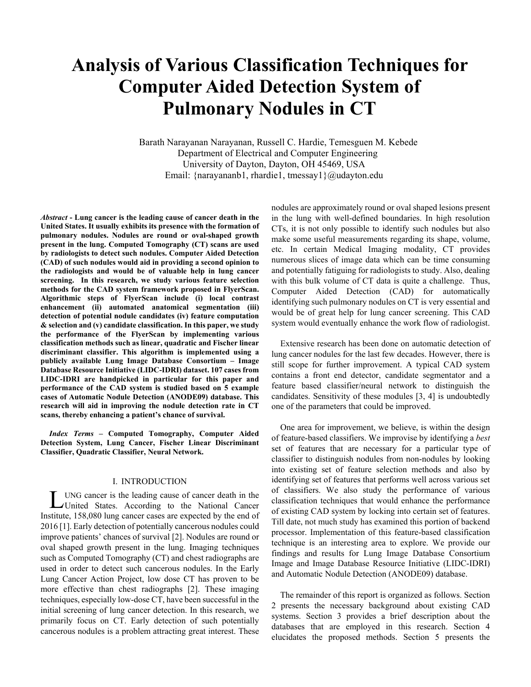# **Analysis of Various Classification Techniques for Computer Aided Detection System of Pulmonary Nodules in CT**

Barath Narayanan Narayanan, Russell C. Hardie, Temesguen M. Kebede Department of Electrical and Computer Engineering University of Dayton, Dayton, OH 45469, USA Email: {narayananb1, rhardie1, tmessay1}@udayton.edu

*Abstract* **- Lung cancer is the leading cause of cancer death in the United States. It usually exhibits its presence with the formation of pulmonary nodules. Nodules are round or oval-shaped growth present in the lung. Computed Tomography (CT) scans are used by radiologists to detect such nodules. Computer Aided Detection (CAD) of such nodules would aid in providing a second opinion to the radiologists and would be of valuable help in lung cancer screening. In this research, we study various feature selection methods for the CAD system framework proposed in FlyerScan. Algorithmic steps of FlyerScan include (i) local contrast enhancement (ii) automated anatomical segmentation (iii) detection of potential nodule candidates (iv) feature computation & selection and (v) candidate classification. In this paper, we study the performance of the FlyerScan by implementing various classification methods such as linear, quadratic and Fischer linear discriminant classifier. This algorithm is implemented using a publicly available Lung Image Database Consortium – Image Database Resource Initiative (LIDC-IDRI) dataset. 107 cases from LIDC-IDRI are handpicked in particular for this paper and performance of the CAD system is studied based on 5 example cases of Automatic Nodule Detection (ANODE09) database. This research will aid in improving the nodule detection rate in CT scans, thereby enhancing a patient's chance of survival.** 

*Index Terms* **– Computed Tomography, Computer Aided Detection System, Lung Cancer, Fischer Linear Discriminant Classifier, Quadratic Classifier, Neural Network.** 

#### I. INTRODUCTION

UNG cancer is the leading cause of cancer death in the **LUNG** cancer is the leading cause of cancer death in the United States. According to the National Cancer Institute, 158,080 lung cancer cases are expected by the end of 2016 [1]. Early detection of potentially cancerous nodules could improve patients' chances of survival [2]. Nodules are round or oval shaped growth present in the lung. Imaging techniques such as Computed Tomography (CT) and chest radiographs are used in order to detect such cancerous nodules. In the Early Lung Cancer Action Project, low dose CT has proven to be more effective than chest radiographs [2]. These imaging techniques, especially low-dose CT, have been successful in the initial screening of lung cancer detection. In this research, we primarily focus on CT. Early detection of such potentially cancerous nodules is a problem attracting great interest. These

nodules are approximately round or oval shaped lesions present in the lung with well-defined boundaries. In high resolution CTs, it is not only possible to identify such nodules but also make some useful measurements regarding its shape, volume, etc. In certain Medical Imaging modality, CT provides numerous slices of image data which can be time consuming and potentially fatiguing for radiologists to study. Also, dealing with this bulk volume of CT data is quite a challenge. Thus, Computer Aided Detection (CAD) for automatically identifying such pulmonary nodules on CT is very essential and would be of great help for lung cancer screening. This CAD system would eventually enhance the work flow of radiologist.

Extensive research has been done on automatic detection of lung cancer nodules for the last few decades. However, there is still scope for further improvement. A typical CAD system contains a front end detector, candidate segmentator and a feature based classifier/neural network to distinguish the candidates. Sensitivity of these modules [3, 4] is undoubtedly one of the parameters that could be improved.

One area for improvement, we believe, is within the design of feature-based classifiers. We improvise by identifying a *best* set of features that are necessary for a particular type of classifier to distinguish nodules from non-nodules by looking into existing set of feature selection methods and also by identifying set of features that performs well across various set of classifiers. We also study the performance of various classification techniques that would enhance the performance of existing CAD system by locking into certain set of features. Till date, not much study has examined this portion of backend processor. Implementation of this feature-based classification technique is an interesting area to explore. We provide our findings and results for Lung Image Database Consortium Image and Image Database Resource Initiative (LIDC-IDRI) and Automatic Nodule Detection (ANODE09) database.

The remainder of this report is organized as follows. Section 2 presents the necessary background about existing CAD systems. Section 3 provides a brief description about the databases that are employed in this research. Section 4 elucidates the proposed methods. Section 5 presents the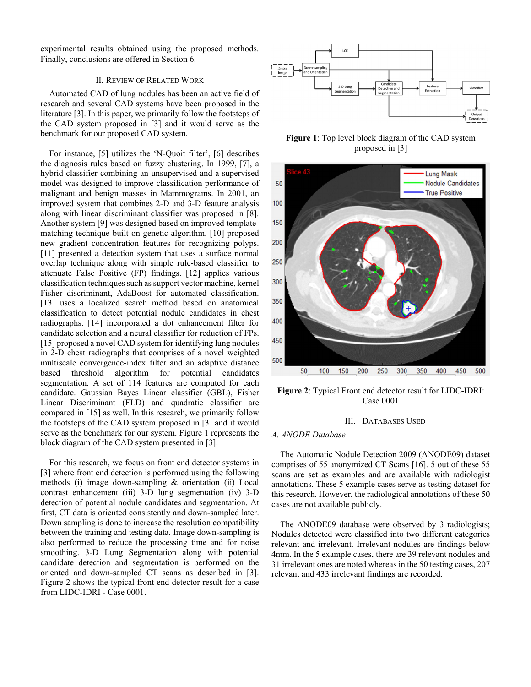experimental results obtained using the proposed methods. Finally, conclusions are offered in Section 6.

### II. REVIEW OF RELATED WORK

Automated CAD of lung nodules has been an active field of research and several CAD systems have been proposed in the literature [3]. In this paper, we primarily follow the footsteps of the CAD system proposed in [3] and it would serve as the benchmark for our proposed CAD system.

For instance, [5] utilizes the 'N-Quoit filter', [6] describes the diagnosis rules based on fuzzy clustering. In 1999, [7], a hybrid classifier combining an unsupervised and a supervised model was designed to improve classification performance of malignant and benign masses in Mammograms. In 2001, an improved system that combines 2-D and 3-D feature analysis along with linear discriminant classifier was proposed in [8]. Another system [9] was designed based on improved templatematching technique built on genetic algorithm. [10] proposed new gradient concentration features for recognizing polyps. [11] presented a detection system that uses a surface normal overlap technique along with simple rule-based classifier to attenuate False Positive (FP) findings. [12] applies various classification techniques such as support vector machine, kernel Fisher discriminant, AdaBoost for automated classification. [13] uses a localized search method based on anatomical classification to detect potential nodule candidates in chest radiographs. [14] incorporated a dot enhancement filter for candidate selection and a neural classifier for reduction of FPs. [15] proposed a novel CAD system for identifying lung nodules in 2-D chest radiographs that comprises of a novel weighted multiscale convergence-index filter and an adaptive distance based threshold algorithm for potential candidates segmentation. A set of 114 features are computed for each candidate. Gaussian Bayes Linear classifier (GBL), Fisher Linear Discriminant (FLD) and quadratic classifier are compared in [15] as well. In this research, we primarily follow the footsteps of the CAD system proposed in [3] and it would serve as the benchmark for our system. Figure 1 represents the block diagram of the CAD system presented in [3].

For this research, we focus on front end detector systems in [3] where front end detection is performed using the following methods (i) image down-sampling & orientation (ii) Local contrast enhancement (iii) 3-D lung segmentation (iv) 3-D detection of potential nodule candidates and segmentation. At first, CT data is oriented consistently and down-sampled later. Down sampling is done to increase the resolution compatibility between the training and testing data. Image down-sampling is also performed to reduce the processing time and for noise smoothing. 3-D Lung Segmentation along with potential candidate detection and segmentation is performed on the oriented and down-sampled CT scans as described in [3]. Figure 2 shows the typical front end detector result for a case from LIDC-IDRI - Case 0001.



**Figure 1**: Top level block diagram of the CAD system proposed in [3]



**Figure 2**: Typical Front end detector result for LIDC-IDRI: Case 0001

#### III. DATABASES USED

#### *A. ANODE Database*

The Automatic Nodule Detection 2009 (ANODE09) dataset comprises of 55 anonymized CT Scans [16]. 5 out of these 55 scans are set as examples and are available with radiologist annotations. These 5 example cases serve as testing dataset for this research. However, the radiological annotations of these 50 cases are not available publicly.

The ANODE09 database were observed by 3 radiologists; Nodules detected were classified into two different categories relevant and irrelevant. Irrelevant nodules are findings below 4mm. In the 5 example cases, there are 39 relevant nodules and 31 irrelevant ones are noted whereas in the 50 testing cases, 207 relevant and 433 irrelevant findings are recorded.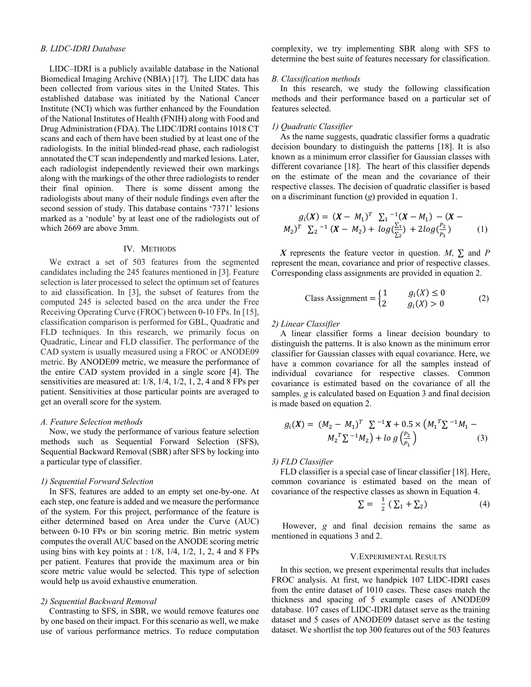#### *B. LIDC-IDRI Database*

LIDC–IDRI is a publicly available database in the National Biomedical Imaging Archive (NBIA) [17]. The LIDC data has been collected from various sites in the United States. This established database was initiated by the National Cancer Institute (NCI) which was further enhanced by the Foundation of the National Institutes of Health (FNIH) along with Food and Drug Administration (FDA). The LIDC/IDRI contains 1018 CT scans and each of them have been studied by at least one of the radiologists. In the initial blinded-read phase, each radiologist annotated the CT scan independently and marked lesions. Later, each radiologist independently reviewed their own markings along with the markings of the other three radiologists to render their final opinion. There is some dissent among the radiologists about many of their nodule findings even after the second session of study. This database contains '7371' lesions marked as a 'nodule' by at least one of the radiologists out of which 2669 are above 3mm.

#### IV. METHODS

We extract a set of 503 features from the segmented candidates including the 245 features mentioned in [3]. Feature selection is later processed to select the optimum set of features to aid classification. In [3], the subset of features from the computed 245 is selected based on the area under the Free Receiving Operating Curve (FROC) between 0-10 FPs. In [15], classification comparison is performed for GBL, Quadratic and FLD techniques. In this research, we primarily focus on Quadratic, Linear and FLD classifier. The performance of the CAD system is usually measured using a FROC or ANODE09 metric. By ANODE09 metric, we measure the performance of the entire CAD system provided in a single score [4]. The sensitivities are measured at: 1/8, 1/4, 1/2, 1, 2, 4 and 8 FPs per patient. Sensitivities at those particular points are averaged to get an overall score for the system.

#### *A. Feature Selection methods*

Now, we study the performance of various feature selection methods such as Sequential Forward Selection (SFS), Sequential Backward Removal (SBR) after SFS by locking into a particular type of classifier.

#### *1) Sequential Forward Selection*

In SFS, features are added to an empty set one-by-one. At each step, one feature is added and we measure the performance of the system. For this project, performance of the feature is either determined based on Area under the Curve (AUC) between 0-10 FPs or bin scoring metric. Bin metric system computes the overall AUC based on the ANODE scoring metric using bins with key points at :  $1/8$ ,  $1/4$ ,  $1/2$ ,  $1$ ,  $2$ ,  $4$  and  $8$  FPs per patient. Features that provide the maximum area or bin score metric value would be selected. This type of selection would help us avoid exhaustive enumeration.

#### *2) Sequential Backward Removal*

Contrasting to SFS, in SBR, we would remove features one by one based on their impact. For this scenario as well, we make use of various performance metrics. To reduce computation complexity, we try implementing SBR along with SFS to determine the best suite of features necessary for classification.

#### *B. Classification methods*

In this research, we study the following classification methods and their performance based on a particular set of features selected.

### *1) Quadratic Classifier*

As the name suggests, quadratic classifier forms a quadratic decision boundary to distinguish the patterns [18]. It is also known as a minimum error classifier for Gaussian classes with different covariance [18]. The heart of this classifier depends on the estimate of the mean and the covariance of their respective classes. The decision of quadratic classifier is based on a discriminant function (*g*) provided in equation 1.

$$
g_i(X) = (X - M_1)^T \sum_1^{-1} (X - M_1) - (X - M_2)^T \sum_2^{-1} (X - M_2) + \log(\frac{\sum_1}{\sum_2}) + 2\log(\frac{P_2}{P_1})
$$
 (1)

*X* represents the feature vector in question. *M*,  $\Sigma$  and *P* represent the mean, covariance and prior of respective classes. Corresponding class assignments are provided in equation 2.

Class Assignment = 
$$
\begin{cases} 1 & g_i(X) \le 0 \\ 2 & g_i(X) > 0 \end{cases}
$$
 (2)

#### *2) Linear Classifier*

A linear classifier forms a linear decision boundary to distinguish the patterns. It is also known as the minimum error classifier for Gaussian classes with equal covariance. Here, we have a common covariance for all the samples instead of individual covariance for respective classes. Common covariance is estimated based on the covariance of all the samples. *g* is calculated based on Equation 3 and final decision is made based on equation 2.

$$
g_i(X) = (M_2 - M_1)^T \sum_{i=1}^{n} X + 0.5 \times (M_1^T \sum_{i=1}^{n} M_1 - M_2^T \sum_{i=1}^{n} M_2) + \log \left(\frac{P_2}{P_1}\right) \tag{3}
$$

#### *3) FLD Classifier*

FLD classifier is a special case of linear classifier [18]. Here, common covariance is estimated based on the mean of covariance of the respective classes as shown in Equation 4.

$$
\Sigma = \frac{1}{2} \left( \sum_{1} + \sum_{2} \right) \tag{4}
$$

 However, *g* and final decision remains the same as mentioned in equations 3 and 2.

#### V.EXPERIMENTAL RESULTS

In this section, we present experimental results that includes FROC analysis. At first, we handpick 107 LIDC-IDRI cases from the entire dataset of 1010 cases. These cases match the thickness and spacing of 5 example cases of ANODE09 database. 107 cases of LIDC-IDRI dataset serve as the training dataset and 5 cases of ANODE09 dataset serve as the testing dataset. We shortlist the top 300 features out of the 503 features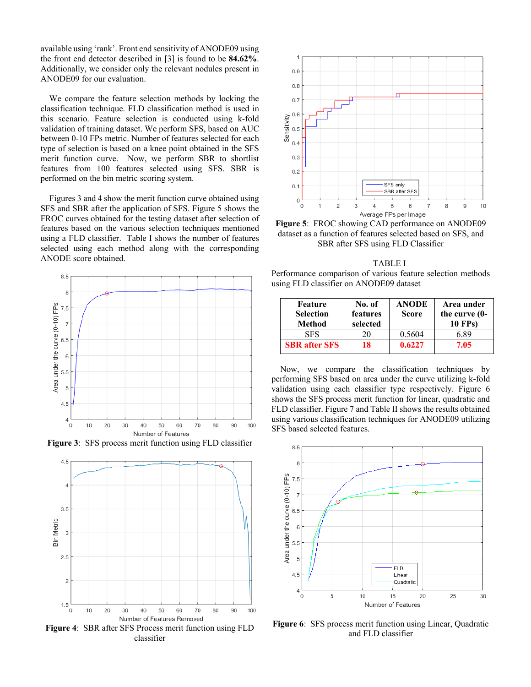available using 'rank'. Front end sensitivity of ANODE09 using the front end detector described in [3] is found to be **84.62%**. Additionally, we consider only the relevant nodules present in ANODE09 for our evaluation.

We compare the feature selection methods by locking the classification technique. FLD classification method is used in this scenario. Feature selection is conducted using k-fold validation of training dataset. We perform SFS, based on AUC between 0-10 FPs metric. Number of features selected for each type of selection is based on a knee point obtained in the SFS merit function curve. Now, we perform SBR to shortlist features from 100 features selected using SFS. SBR is performed on the bin metric scoring system.

Figures 3 and 4 show the merit function curve obtained using SFS and SBR after the application of SFS. Figure 5 shows the FROC curves obtained for the testing dataset after selection of features based on the various selection techniques mentioned using a FLD classifier. Table I shows the number of features selected using each method along with the corresponding ANODE score obtained.









**Figure 5**: FROC showing CAD performance on ANODE09 dataset as a function of features selected based on SFS, and SBR after SFS using FLD Classifier

 TABLE I Performance comparison of various feature selection methods using FLD classifier on ANODE09 dataset

| Feature<br><b>Selection</b><br>Method | No. of<br>features<br>selected | <b>ANODE</b><br><b>Score</b> | Area under<br>the curve $(0-$<br><b>10 FPs)</b> |
|---------------------------------------|--------------------------------|------------------------------|-------------------------------------------------|
| <b>SFS</b>                            | 20                             | 0.5604                       | 6 89                                            |
| <b>SBR</b> after SFS                  | 18                             | 0.6227                       | 7.05                                            |

Now, we compare the classification techniques by performing SFS based on area under the curve utilizing k-fold validation using each classifier type respectively. Figure 6 shows the SFS process merit function for linear, quadratic and FLD classifier. Figure 7 and Table II shows the results obtained using various classification techniques for ANODE09 utilizing SFS based selected features.



**Figure 6**: SFS process merit function using Linear, Quadratic and FLD classifier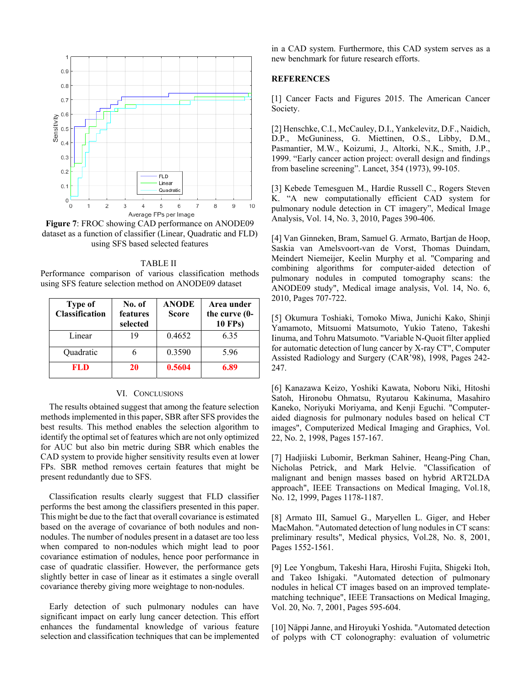

**Figure 7**: FROC showing CAD performance on ANODE09 dataset as a function of classifier (Linear, Quadratic and FLD) using SFS based selected features

 TABLE II Performance comparison of various classification methods using SFS feature selection method on ANODE09 dataset

| Type of<br><b>Classification</b> | No. of<br>features<br>selected | <b>ANODE</b><br><b>Score</b> | Area under<br>the curve (0-<br><b>10 FPs)</b> |
|----------------------------------|--------------------------------|------------------------------|-----------------------------------------------|
| Linear                           | 19                             | 0.4652                       | 6.35                                          |
| Quadratic                        |                                | 0.3590                       | 5.96                                          |
| FL D                             | 20                             | 0.5604                       | 6.89                                          |

#### VI. CONCLUSIONS

The results obtained suggest that among the feature selection methods implemented in this paper, SBR after SFS provides the best results. This method enables the selection algorithm to identify the optimal set of features which are not only optimized for AUC but also bin metric during SBR which enables the CAD system to provide higher sensitivity results even at lower FPs. SBR method removes certain features that might be present redundantly due to SFS.

Classification results clearly suggest that FLD classifier performs the best among the classifiers presented in this paper. This might be due to the fact that overall covariance is estimated based on the average of covariance of both nodules and nonnodules. The number of nodules present in a dataset are too less when compared to non-nodules which might lead to poor covariance estimation of nodules, hence poor performance in case of quadratic classifier. However, the performance gets slightly better in case of linear as it estimates a single overall covariance thereby giving more weightage to non-nodules.

Early detection of such pulmonary nodules can have significant impact on early lung cancer detection. This effort enhances the fundamental knowledge of various feature selection and classification techniques that can be implemented in a CAD system. Furthermore, this CAD system serves as a new benchmark for future research efforts.

#### **REFERENCES**

[1] Cancer Facts and Figures 2015. The American Cancer Society.

[2] Henschke, C.I., McCauley, D.I., Yankelevitz, D.F., Naidich, D.P., McGuniness, G. Miettinen, O.S., Libby, D.M., Pasmantier, M.W., Koizumi, J., Altorki, N.K., Smith, J.P., 1999. "Early cancer action project: overall design and findings from baseline screening". Lancet, 354 (1973), 99-105.

[3] Kebede Temesguen M., Hardie Russell C., Rogers Steven K. "A new computationally efficient CAD system for pulmonary nodule detection in CT imagery", Medical Image Analysis, Vol. 14, No. 3, 2010, Pages 390-406.

[4] Van Ginneken, Bram, Samuel G. Armato, Bartjan de Hoop, Saskia van Amelsvoort-van de Vorst, Thomas Duindam, Meindert Niemeijer, Keelin Murphy et al. "Comparing and combining algorithms for computer-aided detection of pulmonary nodules in computed tomography scans: the ANODE09 study", Medical image analysis, Vol. 14, No. 6, 2010, Pages 707-722.

[5] Okumura Toshiaki, Tomoko Miwa, Junichi Kako, Shinji Yamamoto, Mitsuomi Matsumoto, Yukio Tateno, Takeshi Iinuma, and Tohru Matsumoto. "Variable N-Quoit filter applied for automatic detection of lung cancer by X-ray CT", Computer Assisted Radiology and Surgery (CAR'98), 1998, Pages 242- 247.

[6] Kanazawa Keizo, Yoshiki Kawata, Noboru Niki, Hitoshi Satoh, Hironobu Ohmatsu, Ryutarou Kakinuma, Masahiro Kaneko, Noriyuki Moriyama, and Kenji Eguchi. "Computeraided diagnosis for pulmonary nodules based on helical CT images", Computerized Medical Imaging and Graphics, Vol. 22, No. 2, 1998, Pages 157-167.

[7] Hadjiiski Lubomir, Berkman Sahiner, Heang-Ping Chan, Nicholas Petrick, and Mark Helvie. "Classification of malignant and benign masses based on hybrid ART2LDA approach", IEEE Transactions on Medical Imaging, Vol.18, No. 12, 1999, Pages 1178-1187.

[8] Armato III, Samuel G., Maryellen L. Giger, and Heber MacMahon. "Automated detection of lung nodules in CT scans: preliminary results", Medical physics, Vol.28, No. 8, 2001, Pages 1552-1561.

[9] Lee Yongbum, Takeshi Hara, Hiroshi Fujita, Shigeki Itoh, and Takeo Ishigaki. "Automated detection of pulmonary nodules in helical CT images based on an improved templatematching technique", IEEE Transactions on Medical Imaging, Vol. 20, No. 7, 2001, Pages 595-604.

[10] Näppi Janne, and Hiroyuki Yoshida. "Automated detection of polyps with CT colonography: evaluation of volumetric